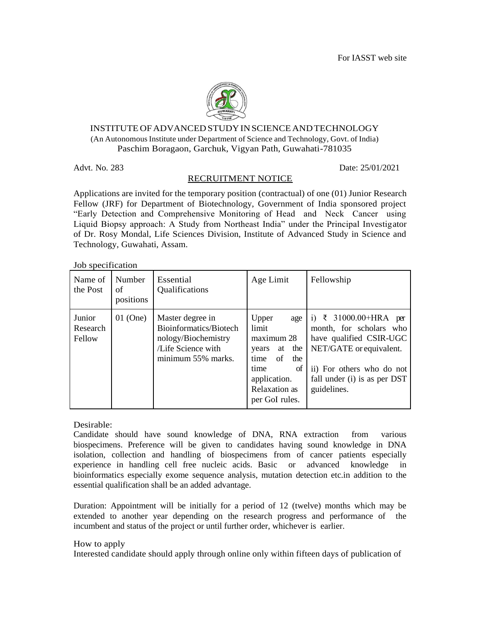

## INSTITUTE OFADVANCEDSTUDYINSCIENCEANDTECHNOLOGY (An Autonomous Institute under Department of Science and Technology, Govt. of India) Paschim Boragaon, Garchuk, Vigyan Path, Guwahati-781035

Advt. No. 283 Date: 25/01/2021

## RECRUITMENT NOTICE

Applications are invited for the temporary position (contractual) of one (01) Junior Research Fellow (JRF) for Department of Biotechnology, Government of India sponsored project "Early Detection and Comprehensive Monitoring of Head and Neck Cancer using Liquid Biopsy approach: A Study from Northeast India" under the Principal Investigator of Dr. Rosy Mondal, Life Sciences Division, Institute of Advanced Study in Science and Technology, Guwahati, Assam.

## Job specification

| Name of<br>the Post          | Number<br>of<br>positions | Essential<br>Qualifications                                                                                   | Age Limit                                                                                                                                       | Fellowship                                                                                                                                                                                 |
|------------------------------|---------------------------|---------------------------------------------------------------------------------------------------------------|-------------------------------------------------------------------------------------------------------------------------------------------------|--------------------------------------------------------------------------------------------------------------------------------------------------------------------------------------------|
| Junior<br>Research<br>Fellow | $01$ (One)                | Master degree in<br>Bioinformatics/Biotech<br>nology/Biochemistry<br>/Life Science with<br>minimum 55% marks. | Upper<br>age<br>limit<br>maximum 28<br>the<br>at<br>years<br>of<br>time<br>the<br>time<br>of<br>application.<br>Relaxation as<br>per GoI rules. | i) $\bar{x}$ 31000.00+HRA per<br>month, for scholars who<br>have qualified CSIR-UGC<br>NET/GATE or equivalent.<br>ii) For others who do not<br>fall under (i) is as per DST<br>guidelines. |

Desirable:

Candidate should have sound knowledge of DNA, RNA extraction from various biospecimens. Preference will be given to candidates having sound knowledge in DNA isolation, collection and handling of biospecimens from of cancer patients especially experience in handling cell free nucleic acids. Basic or advanced knowledge in bioinformatics especially exome sequence analysis, mutation detection etc.in addition to the essential qualification shall be an added advantage.

Duration: Appointment will be initially for a period of 12 (twelve) months which may be extended to another year depending on the research progress and performance of the incumbent and status of the project or until further order, whichever is earlier.

## How to apply

Interested candidate should apply through online only within fifteen days of publication of